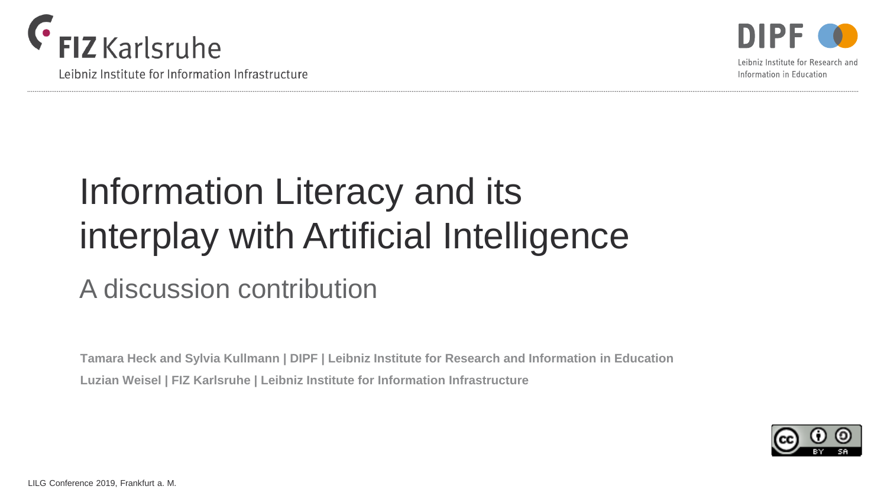

Leibniz Institute for Information Infrastructure



Leibniz Institute for Research and Information in Education

# Information Literacy and its interplay with Artificial Intelligence

## A discussion contribution

**Tamara Heck and Sylvia Kullmann | DIPF | Leibniz Institute for Research and Information in Education Luzian Weisel | FIZ Karlsruhe | Leibniz Institute for Information Infrastructure**

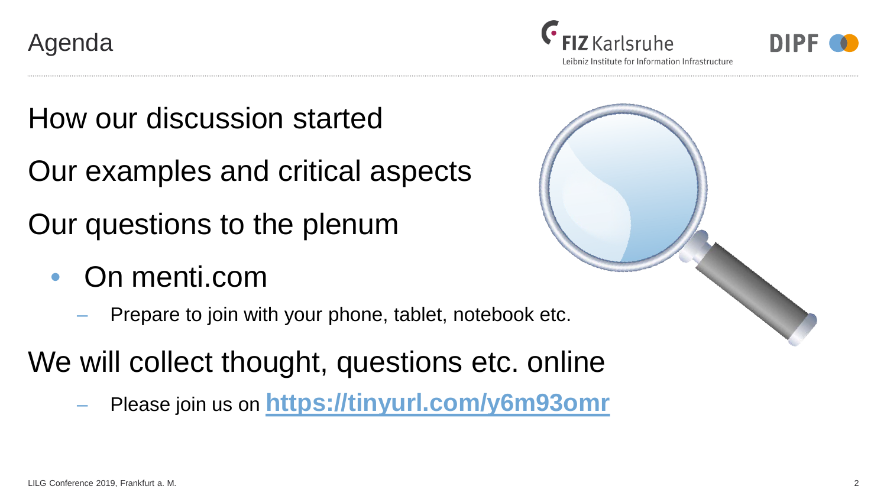Agenda





Leibniz Institute for Information Infrastructure

How our discussion started

Our examples and critical aspects

Our questions to the plenum

- On menti.com
	- ‒ Prepare to join with your phone, tablet, notebook etc.

We will collect thought, questions etc. online

‒ Please join us on **<https://tinyurl.com/y6m93omr>** 

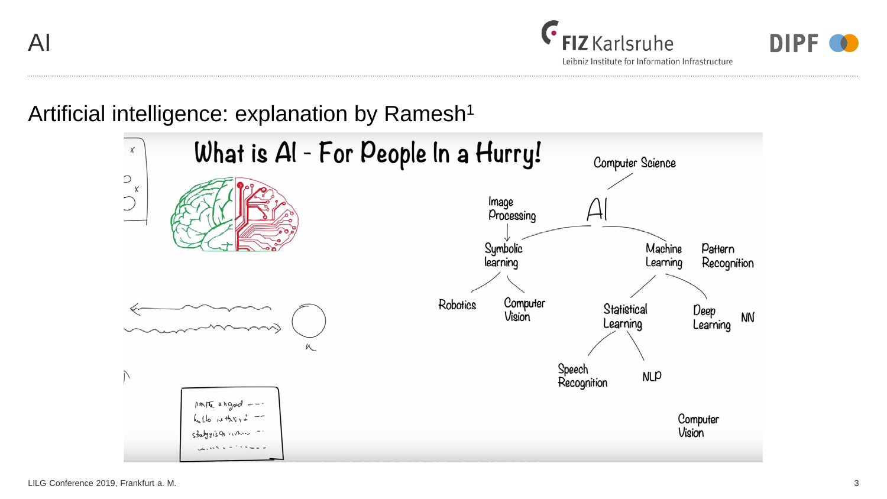AI





### Artificial intelligence: explanation by Ramesh<sup>1</sup>

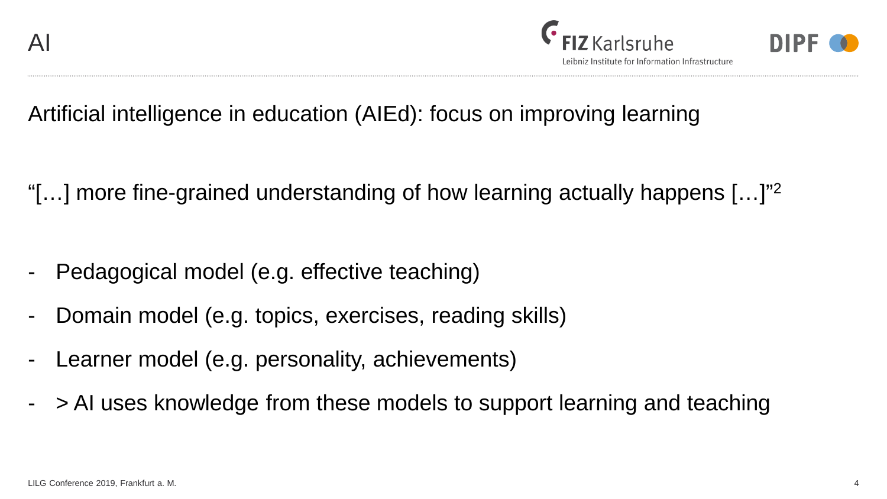



Artificial intelligence in education (AIEd): focus on improving learning

"[...] more fine-grained understanding of how learning actually happens  $[...]$ "<sup>2</sup>

- Pedagogical model (e.g. effective teaching)
- Domain model (e.g. topics, exercises, reading skills)
- Learner model (e.g. personality, achievements)
- > AI uses knowledge from these models to support learning and teaching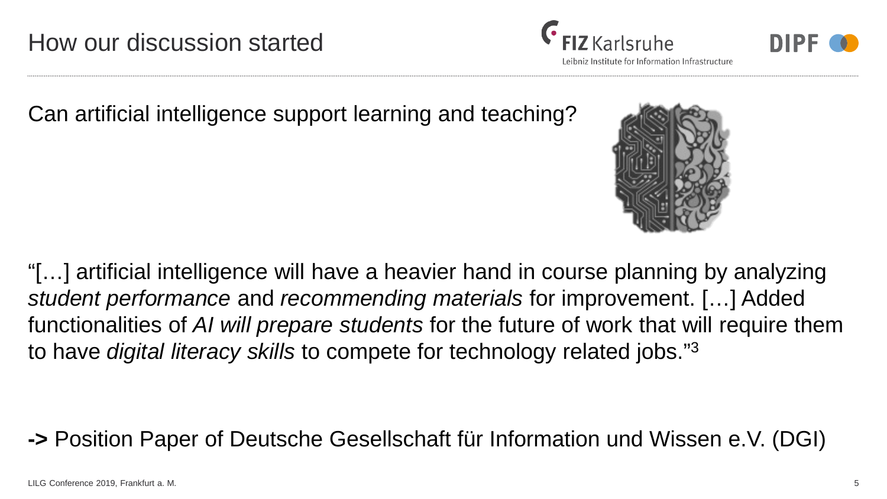How our discussion started

Can artificial intelligence support learning and teaching?

"[…] artificial intelligence will have a heavier hand in course planning by analyzing *student performance* and *recommending materials* for improvement. […] Added functionalities of *AI will prepare students* for the future of work that will require them to have *digital literacy skills* to compete for technology related jobs."3

**->** Position Paper of Deutsche Gesellschaft für Information und Wissen e.V. (DGI)



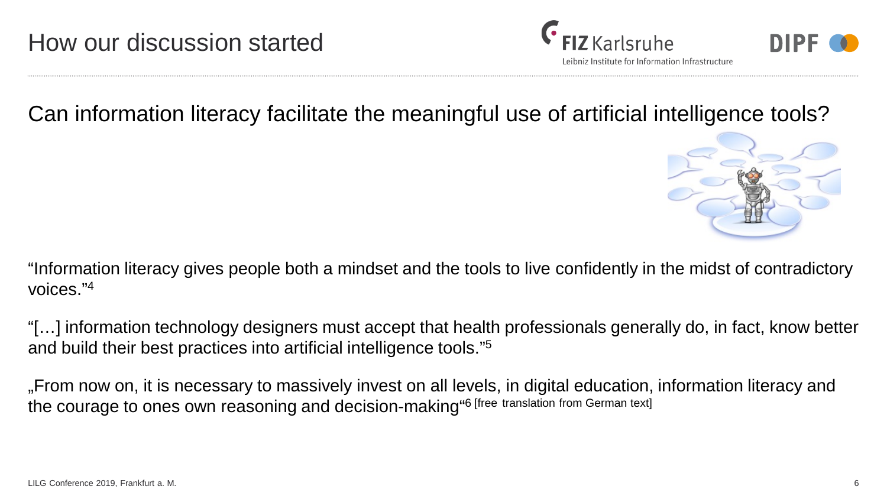





Can information literacy facilitate the meaningful use of artificial intelligence tools?



"Information literacy gives people both a mindset and the tools to live confidently in the midst of contradictory voices."4

"[…] information technology designers must accept that health professionals generally do, in fact, know better and build their best practices into artificial intelligence tools."5

"From now on, it is necessary to massively invest on all levels, in digital education, information literacy and the courage to ones own reasoning and decision-making"6 [free translation from German text]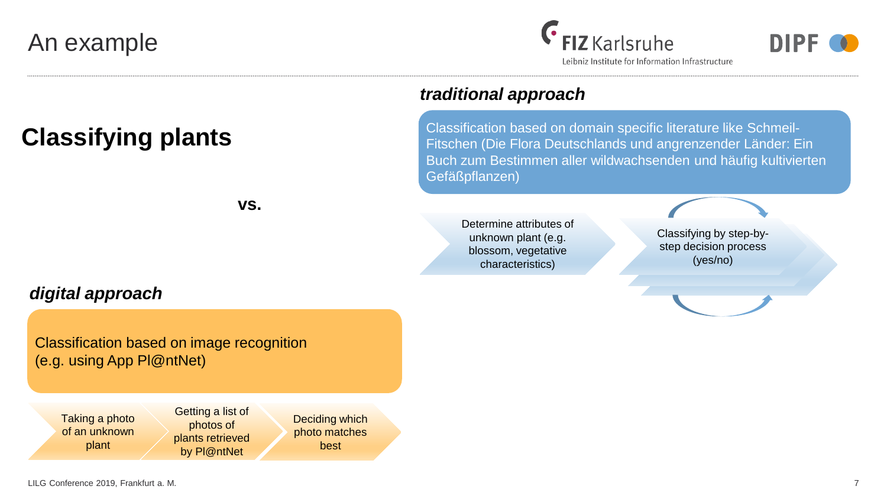## An example

## $\epsilon$  FIZ Karlsruhe



Leibniz Institute for Information Infrastructure

## **Classifying plants**

**vs.**

#### *digital approach*

#### Classification based on image recognition (e.g. using App Pl@ntNet)

Taking a photo of an unknown plant

Getting a list of photos of plants retrieved by Pl@ntNet

Deciding which photo matches best

#### *traditional approach*

Classification based on domain specific literature like Schmeil-Fitschen (Die Flora Deutschlands und angrenzender Länder: Ein Buch zum Bestimmen aller wildwachsenden und häufig kultivierten Gefäßpflanzen)

Determine attributes of unknown plant (e.g. blossom, vegetative characteristics)

Classifying by step-bystep decision process (yes/no)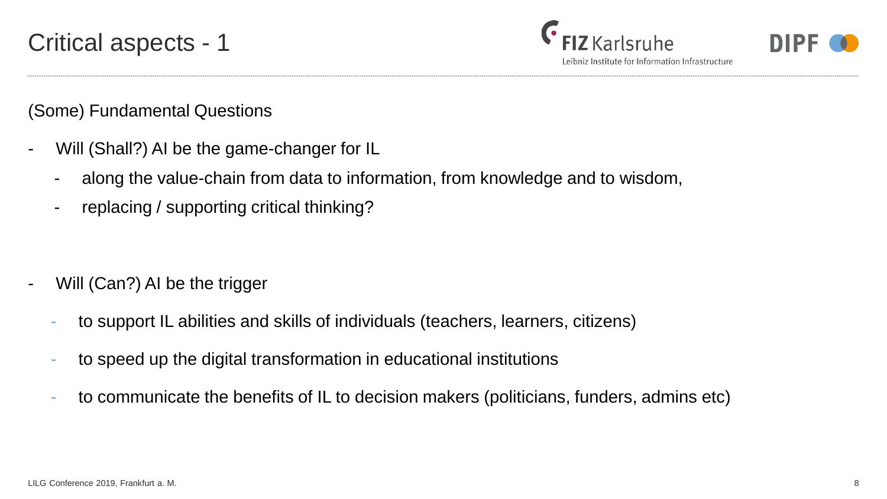

Leibniz Institute for Information Infrastructure

(Some) Fundamental Questions

- Will (Shall?) AI be the game-changer for IL
	- along the value-chain from data to information, from knowledge and to wisdom,
	- replacing / supporting critical thinking?

- Will (Can?) AI be the trigger
	- to support IL abilities and skills of individuals (teachers, learners, citizens)
	- to speed up the digital transformation in educational institutions
	- to communicate the benefits of IL to decision makers (politicians, funders, admins etc)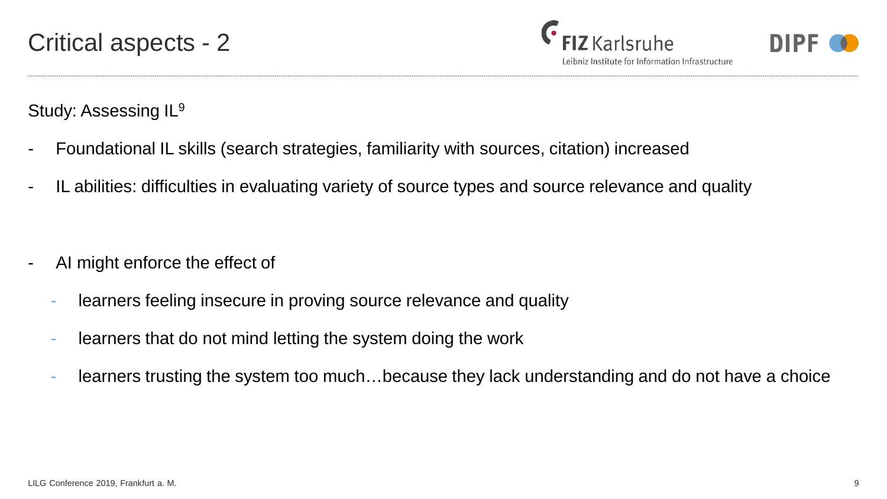Leibniz Institute for Information Infrastructure



Study: Assessing IL<sup>9</sup>

- Foundational IL skills (search strategies, familiarity with sources, citation) increased
- IL abilities: difficulties in evaluating variety of source types and source relevance and quality

- AI might enforce the effect of
	- learners feeling insecure in proving source relevance and quality
	- learners that do not mind letting the system doing the work
	- learners trusting the system too much…because they lack understanding and do not have a choice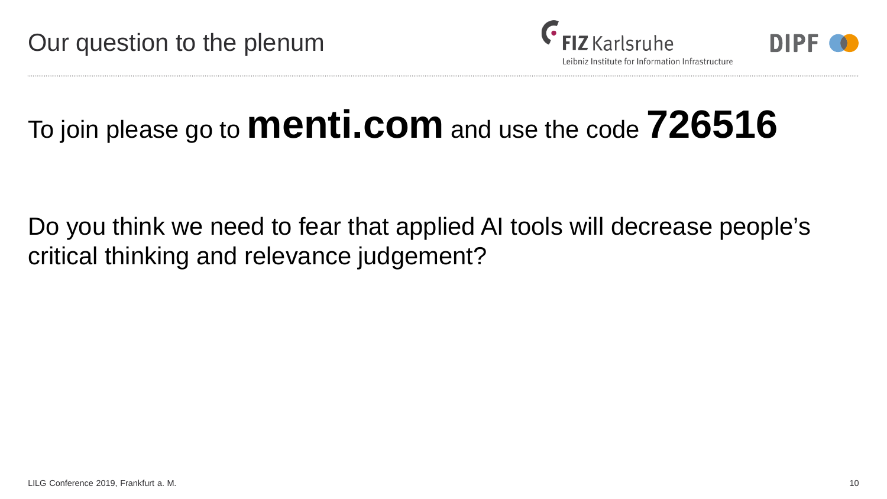



## To join please go to **menti.com** and use the code **726516**

Do you think we need to fear that applied AI tools will decrease people's critical thinking and relevance judgement?